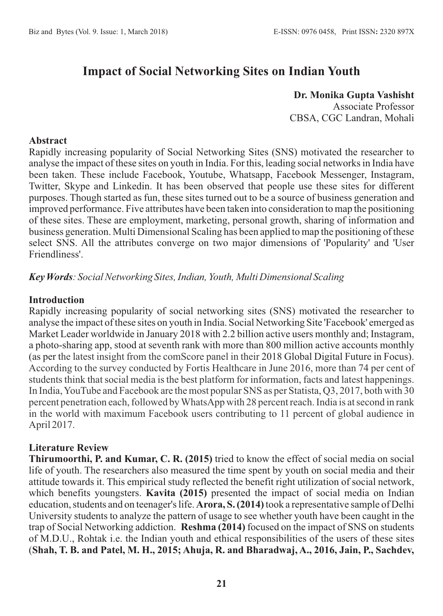# **Impact of Social Networking Sites on Indian Youth**

**Dr. Monika Gupta Vashisht** Associate Professor CBSA, CGC Landran, Mohali

#### **Abstract**

Rapidly increasing popularity of Social Networking Sites (SNS) motivated the researcher to analyse the impact of these sites on youth in India. For this, leading social networks in India have been taken. These include Facebook, Youtube, Whatsapp, Facebook Messenger, Instagram, Twitter, Skype and Linkedin. It has been observed that people use these sites for different purposes. Though started as fun, these sites turned out to be a source of business generation and improved performance. Five attributes have been taken into consideration to map the positioning of these sites. These are employment, marketing, personal growth, sharing of information and business generation. Multi Dimensional Scaling has been applied to map the positioning of these select SNS. All the attributes converge on two major dimensions of 'Popularity' and 'User Friendliness'.

*Key Words: Social Networking Sites, Indian, Youth, Multi Dimensional Scaling*

#### **Introduction**

Rapidly increasing popularity of social networking sites (SNS) motivated the researcher to analyse the impact of these sites on youth in India. Social Networking Site 'Facebook' emerged as Market Leader worldwide in January 2018 with 2.2 billion active users monthly and; Instagram, a photo-sharing app, stood at seventh rank with more than 800 million active accounts monthly (as per the latest insight from the comScore panel in their 2018 Global Digital Future in Focus). According to the survey conducted by Fortis Healthcare in June 2016, more than 74 per cent of students think that social media is the best platform for information, facts and latest happenings. In India, YouTube and Facebook are the most popular SNS as per Statista, Q3, 2017, both with 30 percent penetration each, followed by WhatsApp with 28 percent reach. India is at second in rank in the world with maximum Facebook users contributing to 11 percent of global audience in April 2017.

# **Literature Review**

**Thirumoorthi, P. and Kumar, C. R. (2015)** tried to know the effect of social media on social life of youth. The researchers also measured the time spent by youth on social media and their attitude towards it. This empirical study reflected the benefit right utilization of social network, which benefits youngsters. **Kavita (2015)** presented the impact of social media on Indian education, students and on teenager's life. **Arora, S. (2014)**took a representative sample of Delhi University students to analyze the pattern of usage to see whether youth have been caught in the trap of Social Networking addiction. **Reshma (2014)** focused on the impact of SNS on students of M.D.U., Rohtak i.e. the Indian youth and ethical responsibilities of the users of these sites (**Shah, T. B. and Patel, M. H., 2015; Ahuja, R. and Bharadwaj, A., 2016, Jain, P., Sachdev,**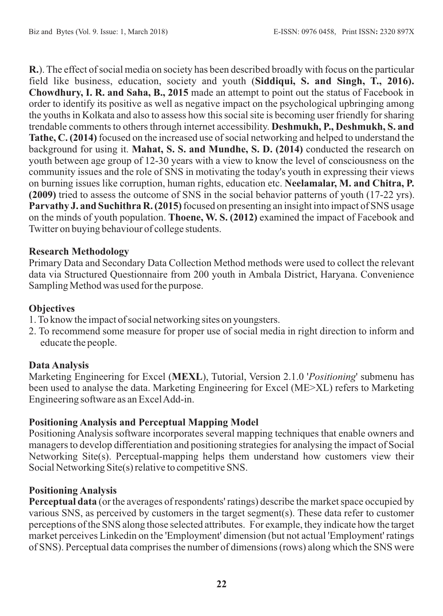**R.**). The effect of social media on society has been described broadly with focus on the particular field like business, education, society and youth (**Siddiqui, S. and Singh, T., 2016). Chowdhury, I. R. and Saha, B., 2015** made an attempt to point out the status of Facebook in order to identify its positive as well as negative impact on the psychological upbringing among the youths in Kolkata and also to assess how this social site is becoming user friendly for sharing trendable comments to others through internet accessibility. **Deshmukh, P., Deshmukh, S. and Tathe, C. (2014)** focused on the increased use of social networking and helped to understand the background for using it. **Mahat, S. S. and Mundhe, S. D. (2014)** conducted the research on youth between age group of 12-30 years with a view to know the level of consciousness on the community issues and the role of SNS in motivating the today's youth in expressing their views on burning issues like corruption, human rights, education etc. **Neelamalar, M. and Chitra, P. (2009)** tried to assess the outcome of SNS in the social behavior patterns of youth (17-22 yrs). **Parvathy J. and Suchithra R. (2015)** focused on presenting an insight into impact of SNS usage on the minds of youth population. **Thoene, W. S. (2012)** examined the impact of Facebook and Twitter on buying behaviour of college students.

#### **Research Methodology**

Primary Data and Secondary Data Collection Method methods were used to collect the relevant data via Structured Questionnaire from 200 youth in Ambala District, Haryana. Convenience Sampling Method was used for the purpose.

#### **Objectives**

- 1. To know the impact of social networking sites on youngsters.
- 2. To recommend some measure for proper use of social media in right direction to inform and educate the people.

#### **Data Analysis**

Marketing Engineering for Excel (**MEXL**), Tutorial, Version 2.1.0 '*Positioning*' submenu has been used to analyse the data. Marketing Engineering for Excel (ME>XL) refers to Marketing Engineering software as an Excel Add-in.

#### **Positioning Analysis and Perceptual Mapping Model**

Positioning Analysis software incorporates several mapping techniques that enable owners and managers to develop differentiation and positioning strategies for analysing the impact of Social Networking Site(s). Perceptual-mapping helps them understand how customers view their Social Networking Site(s) relative to competitive SNS.

# **Positioning Analysis**

**Perceptual data** (or the averages of respondents' ratings) describe the market space occupied by various SNS, as perceived by customers in the target segment(s). These data refer to customer perceptions of the SNS along those selected attributes. For example, they indicate how the target market perceives Linkedin on the 'Employment' dimension (but not actual 'Employment' ratings of SNS). Perceptual data comprises the number of dimensions (rows) along which the SNS were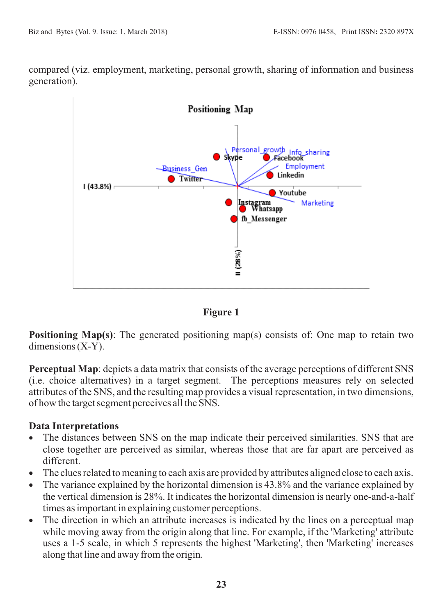compared (viz. employment, marketing, personal growth, sharing of information and business generation).





**Positioning Map(s)**: The generated positioning map(s) consists of: One map to retain two dimensions (X-Y).

**Perceptual Map**: depicts a data matrix that consists of the average perceptions of different SNS (i.e. choice alternatives) in a target segment. The perceptions measures rely on selected attributes of the SNS, and the resulting map provides a visual representation, in two dimensions, of how the target segment perceives all the SNS.

# **Data Interpretations**

- · The distances between SNS on the map indicate their perceived similarities. SNS that are close together are perceived as similar, whereas those that are far apart are perceived as different.
- · The clues related to meaning to each axis are provided by attributes aligned close to each axis.
- The variance explained by the horizontal dimension is 43.8% and the variance explained by the vertical dimension is 28%. It indicates the horizontal dimension is nearly one-and-a-half times as important in explaining customer perceptions.
- The direction in which an attribute increases is indicated by the lines on a perceptual map while moving away from the origin along that line. For example, if the 'Marketing' attribute uses a 1-5 scale, in which 5 represents the highest 'Marketing', then 'Marketing' increases along that line and away from the origin.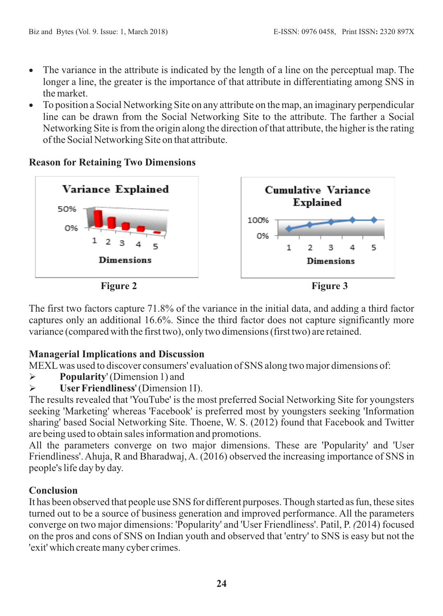- The variance in the attribute is indicated by the length of a line on the perceptual map. The longer a line, the greater is the importance of that attribute in differentiating among SNS in the market.
- · To position a Social Networking Site on any attribute on the map, an imaginary perpendicular line can be drawn from the Social Networking Site to the attribute. The farther a Social Networking Site is from the origin along the direction of that attribute, the higher is the rating of the Social Networking Site on that attribute.

# **Reason for Retaining Two Dimensions**



The first two factors capture 71.8% of the variance in the initial data, and adding a third factor captures only an additional 16.6%. Since the third factor does not capture significantly more variance (compared with the first two), only two dimensions (first two) are retained.

# **Managerial Implications and Discussion**

MEXLwas used to discover consumers' evaluation of SNS along two major dimensions of:

- Ø **Popularity**' (Dimension 1) and
- Ø **UserFriendliness**' (Dimension 1I).

The results revealed that 'YouTube' is the most preferred Social Networking Site for youngsters seeking 'Marketing' whereas 'Facebook' is preferred most by youngsters seeking 'Information sharing' based Social Networking Site. Thoene, W. S. (2012) found that Facebook and Twitter are being used to obtain sales information and promotions.

All the parameters converge on two major dimensions. These are 'Popularity' and 'User Friendliness'. Ahuja, R and Bharadwaj, A. (2016) observed the increasing importance of SNS in people's life day by day.

# **Conclusion**

It has been observed that people use SNS for different purposes. Though started as fun, these sites turned out to be a source of business generation and improved performance. All the parameters converge on two major dimensions: 'Popularity' and 'User Friendliness'. Patil, P. *(*2014) focused on the pros and cons of SNS on Indian youth and observed that 'entry' to SNS is easy but not the 'exit' which create many cyber crimes.